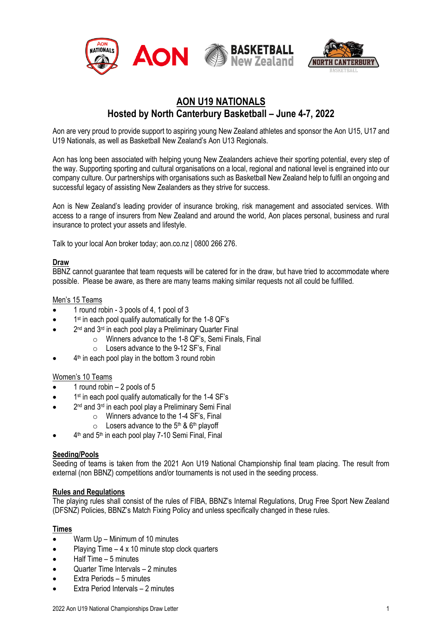

## **AON U19 NATIONALS Hosted by North Canterbury Basketball – June 4-7, 2022**

Aon are very proud to provide support to aspiring young New Zealand athletes and sponsor the Aon U15, U17 and U19 Nationals, as well as Basketball New Zealand's Aon U13 Regionals.

Aon has long been associated with helping young New Zealanders achieve their sporting potential, every step of the way. Supporting sporting and cultural organisations on a local, regional and national level is engrained into our company culture. Our partnerships with organisations such as Basketball New Zealand help to fulfil an ongoing and successful legacy of assisting New Zealanders as they strive for success.

Aon is New Zealand's leading provider of insurance broking, risk management and associated services. With access to a range of insurers from New Zealand and around the world, Aon places personal, business and rural insurance to protect your assets and lifestyle.

Talk to your local Aon broker today; aon.co.nz | 0800 266 276.

## **Draw**

BBNZ cannot guarantee that team requests will be catered for in the draw, but have tried to accommodate where possible. Please be aware, as there are many teams making similar requests not all could be fulfilled.

## Men's 15 Teams

- 1 round robin 3 pools of 4, 1 pool of 3
- 1<sup>st</sup> in each pool qualify automatically for the 1-8 QF's
- 2<sup>nd</sup> and 3<sup>rd</sup> in each pool play a Preliminary Quarter Final
	- o Winners advance to the 1-8 QF's, Semi Finals, Final
	- o Losers advance to the 9-12 SF's, Final
- $\bullet$  4<sup>th</sup> in each pool play in the bottom 3 round robin

#### Women's 10 Teams

- 1 round robin  $-2$  pools of 5
- 1<sup>st</sup> in each pool qualify automatically for the 1-4 SF's
- 2<sup>nd</sup> and 3<sup>rd</sup> in each pool play a Preliminary Semi Final
	- o Winners advance to the 1-4 SF's, Final
	- $\circ$  Losers advance to the 5<sup>th</sup> & 6<sup>th</sup> playoff
- 4<sup>th</sup> and 5<sup>th</sup> in each pool play 7-10 Semi Final, Final

#### **Seeding/Pools**

Seeding of teams is taken from the 2021 Aon U19 National Championship final team placing. The result from external (non BBNZ) competitions and/or tournaments is not used in the seeding process.

#### **Rules and Regulations**

The playing rules shall consist of the rules of FIBA, BBNZ's Internal Regulations, Drug Free Sport New Zealand (DFSNZ) Policies, BBNZ's Match Fixing Policy and unless specifically changed in these rules.

## **Times**

- Warm Up Minimum of 10 minutes
- Playing Time 4 x 10 minute stop clock quarters
- Half Time 5 minutes
- Quarter Time Intervals 2 minutes
- Extra Periods 5 minutes
- Extra Period Intervals 2 minutes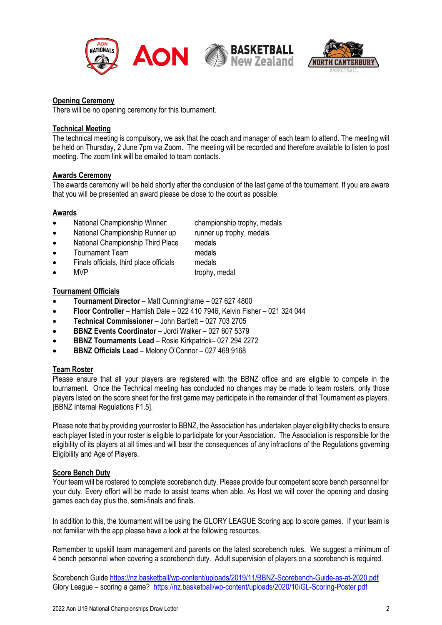



## **Opening Ceremony**

There will be no opening ceremony for this tournament.

## **Technical Meeting**

The technical meeting is compulsory, we ask that the coach and manager of each team to attend. The meeting will be held on Thursday, 2 June 7pm via Zoom. The meeting will be recorded and therefore available to listen to post meeting. The zoom link will be emailed to team contacts.

#### **Awards Ceremony**

The awards ceremony will be held shortly after the conclusion of the last game of the tournament. If you are aware that you will be presented an award please be close to the court as possible.

## **Awards**

- National Championship Winner: championship trophy, medals<br>• National Championship Runner up runner up trophy, medals
- National Championship Runner up
- National Championship Third Place medals
- **Tournament Team medals**
- Finals officials, third place officials medals
- MVP trophy, medal

## **Tournament Officials**

- **Tournament Director**  Matt Cunninghame 027 627 4800
- **Floor Controller**  Hamish Dale 022 410 7946, Kelvin Fisher 021 324 044
- **Technical Commissioner** John Bartlett 027 703 2705
- **BBNZ Events Coordinator** Jordi Walker 027 607 5379
- **BBNZ Tournaments Lead** Rosie Kirkpatrick– 027 294 2272
- **BBNZ Officials Lead** Melony O'Connor 027 469 9168

## **Team Roster**

Please ensure that all your players are registered with the BBNZ office and are eligible to compete in the tournament. Once the Technical meeting has concluded no changes may be made to team rosters, only those players listed on the score sheet for the first game may participate in the remainder of that Tournament as players. [BBNZ Internal Regulations F1.5].

Please note that by providing your roster to BBNZ, the Association has undertaken player eligibility checks to ensure each player listed in your roster is eligible to participate for your Association. The Association is responsible for the eligibility of its players at all times and will bear the consequences of any infractions of the Regulations governing Eligibility and Age of Players.

#### **Score Bench Duty**

Your team will be rostered to complete scorebench duty. Please provide four competent score bench personnel for your duty. Every effort will be made to assist teams when able. As Host we will cover the opening and closing games each day plus the, semi-finals and finals.

In addition to this, the tournament will be using the GLORY LEAGUE Scoring app to score games. If your team is not familiar with the app please have a look at the following resources.

Remember to upskill team management and parents on the latest scorebench rules. We suggest a minimum of 4 bench personnel when covering a scorebench duty. Adult supervision of players on a scorebench is required.

Scorebench Guide<https://nz.basketball/wp-content/uploads/2019/11/BBNZ-Scorebench-Guide-as-at-2020.pdf> Glory League – scoring a game? <https://nz.basketball/wp-content/uploads/2020/10/GL-Scoring-Poster.pdf>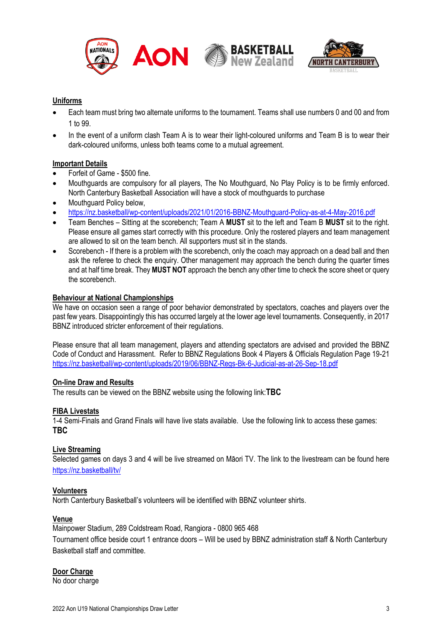



## **Uniforms**

- Each team must bring two alternate uniforms to the tournament. Teams shall use numbers 0 and 00 and from 1 to 99.
- In the event of a uniform clash Team A is to wear their light-coloured uniforms and Team B is to wear their dark-coloured uniforms, unless both teams come to a mutual agreement.

## **Important Details**

- Forfeit of Game \$500 fine.
- Mouthguards are compulsory for all players, The No Mouthguard, No Play Policy is to be firmly enforced. North Canterbury Basketball Association will have a stock of mouthguards to purchase
- Mouthguard Policy below,
- <https://nz.basketball/wp-content/uploads/2021/01/2016-BBNZ-Mouthguard-Policy-as-at-4-May-2016.pdf>
- Team Benches Sitting at the scorebench; Team A **MUST** sit to the left and Team B **MUST** sit to the right. Please ensure all games start correctly with this procedure. Only the rostered players and team management are allowed to sit on the team bench. All supporters must sit in the stands.
- Scorebench If there is a problem with the scorebench, only the coach may approach on a dead ball and then ask the referee to check the enquiry. Other management may approach the bench during the quarter times and at half time break. They **MUST NOT** approach the bench any other time to check the score sheet or query the scorebench.

#### **Behaviour at National Championships**

We have on occasion seen a range of poor behavior demonstrated by spectators, coaches and players over the past few years. Disappointingly this has occurred largely at the lower age level tournaments. Consequently, in 2017 BBNZ introduced stricter enforcement of their regulations.

Please ensure that all team management, players and attending spectators are advised and provided the BBNZ Code of Conduct and Harassment. Refer to BBNZ Regulations Book 4 Players & Officials Regulation Page 19-21 <https://nz.basketball/wp-content/uploads/2019/06/BBNZ-Regs-Bk-6-Judicial-as-at-26-Sep-18.pdf>

#### **On-line Draw and Results**

The results can be viewed on the BBNZ website using the following link:**TBC**

## **FIBA Livestats**

1-4 Semi-Finals and Grand Finals will have live stats available. Use the following link to access these games: **TBC**

## **Live Streaming**

Selected games on days 3 and 4 will be live streamed on Māori TV. The link to the livestream can be found here <https://nz.basketball/tv/>

#### **Volunteers**

North Canterbury Basketball's volunteers will be identified with BBNZ volunteer shirts.

#### **Venue**

Mainpower Stadium, 289 Coldstream Road, Rangiora - 0800 965 468

Tournament office beside court 1 entrance doors – Will be used by BBNZ administration staff & North Canterbury Basketball staff and committee.

## **Door Charge**

No door charge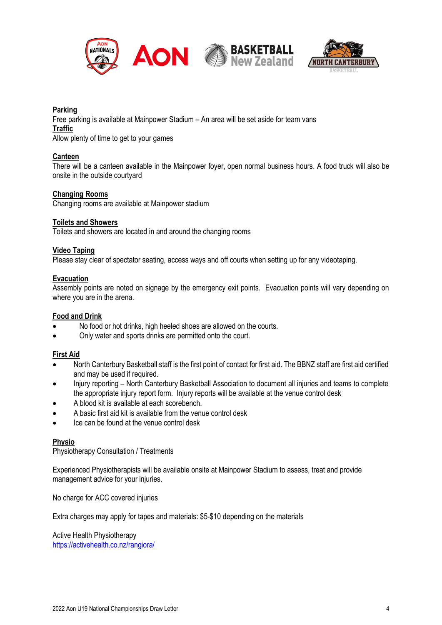

# **INTERBURY**

## **Parking**

Free parking is available at Mainpower Stadium – An area will be set aside for team vans **Traffic**

Allow plenty of time to get to your games

## **Canteen**

There will be a canteen available in the Mainpower foyer, open normal business hours. A food truck will also be onsite in the outside courtyard

## **Changing Rooms**

Changing rooms are available at Mainpower stadium

## **Toilets and Showers**

Toilets and showers are located in and around the changing rooms

## **Video Taping**

Please stay clear of spectator seating, access ways and off courts when setting up for any videotaping.

## **Evacuation**

Assembly points are noted on signage by the emergency exit points. Evacuation points will vary depending on where you are in the arena.

## **Food and Drink**

- No food or hot drinks, high heeled shoes are allowed on the courts.
- Only water and sports drinks are permitted onto the court.

## **First Aid**

- North Canterbury Basketball staff is the first point of contact for first aid. The BBNZ staff are first aid certified and may be used if required.
- Injury reporting North Canterbury Basketball Association to document all injuries and teams to complete the appropriate injury report form. Injury reports will be available at the venue control desk
- A blood kit is available at each scorebench.
- A basic first aid kit is available from the venue control desk
- Ice can be found at the venue control desk

#### **Physio**

Physiotherapy Consultation / Treatments

Experienced Physiotherapists will be available onsite at Mainpower Stadium to assess, treat and provide management advice for your injuries.

No charge for ACC covered injuries

Extra charges may apply for tapes and materials: \$5-\$10 depending on the materials

Active Health Physiotherapy <https://activehealth.co.nz/rangiora/>